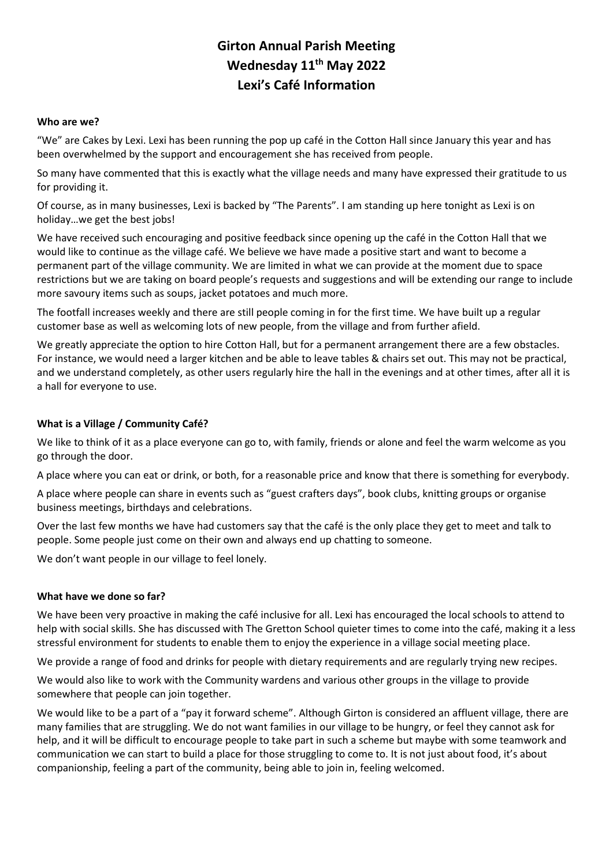# **Girton Annual Parish Meeting Wednesday 11th May 2022 Lexi's Café Information**

#### **Who are we?**

"We" are Cakes by Lexi. Lexi has been running the pop up café in the Cotton Hall since January this year and has been overwhelmed by the support and encouragement she has received from people.

So many have commented that this is exactly what the village needs and many have expressed their gratitude to us for providing it.

Of course, as in many businesses, Lexi is backed by "The Parents". I am standing up here tonight as Lexi is on holiday…we get the best jobs!

We have received such encouraging and positive feedback since opening up the café in the Cotton Hall that we would like to continue as the village café. We believe we have made a positive start and want to become a permanent part of the village community. We are limited in what we can provide at the moment due to space restrictions but we are taking on board people's requests and suggestions and will be extending our range to include more savoury items such as soups, jacket potatoes and much more.

The footfall increases weekly and there are still people coming in for the first time. We have built up a regular customer base as well as welcoming lots of new people, from the village and from further afield.

We greatly appreciate the option to hire Cotton Hall, but for a permanent arrangement there are a few obstacles. For instance, we would need a larger kitchen and be able to leave tables & chairs set out. This may not be practical, and we understand completely, as other users regularly hire the hall in the evenings and at other times, after all it is a hall for everyone to use.

## **What is a Village / Community Café?**

We like to think of it as a place everyone can go to, with family, friends or alone and feel the warm welcome as you go through the door.

A place where you can eat or drink, or both, for a reasonable price and know that there is something for everybody.

A place where people can share in events such as "guest crafters days", book clubs, knitting groups or organise business meetings, birthdays and celebrations.

Over the last few months we have had customers say that the café is the only place they get to meet and talk to people. Some people just come on their own and always end up chatting to someone.

We don't want people in our village to feel lonely.

## **What have we done so far?**

We have been very proactive in making the café inclusive for all. Lexi has encouraged the local schools to attend to help with social skills. She has discussed with The Gretton School quieter times to come into the café, making it a less stressful environment for students to enable them to enjoy the experience in a village social meeting place.

We provide a range of food and drinks for people with dietary requirements and are regularly trying new recipes.

We would also like to work with the Community wardens and various other groups in the village to provide somewhere that people can join together.

We would like to be a part of a "pay it forward scheme". Although Girton is considered an affluent village, there are many families that are struggling. We do not want families in our village to be hungry, or feel they cannot ask for help, and it will be difficult to encourage people to take part in such a scheme but maybe with some teamwork and communication we can start to build a place for those struggling to come to. It is not just about food, it's about companionship, feeling a part of the community, being able to join in, feeling welcomed.